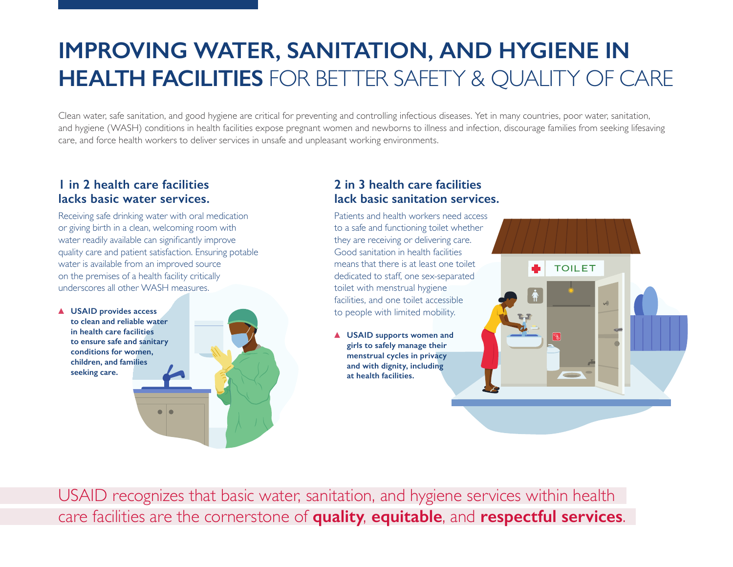# **IMPROVING WATER, SANITATION, AND HYGIENE IN HEALTH FACILITIES** FOR BETTER SAFETY & QUALITY OF CARE

Clean water, safe sanitation, and good hygiene are critical for preventing and controlling infectious diseases. Yet in many countries, poor water, sanitation, and hygiene (WASH) conditions in health facilities expose pregnant women and newborns to illness and infection, discourage families from seeking lifesaving care, and force health workers to deliver services in unsafe and unpleasant working environments.

### **1 in 2 health care facilities lacks basic water services.**

Receiving safe drinking water with oral medication or giving birth in a clean, welcoming room with water readily available can significantly improve quality care and patient satisfaction. Ensuring potable water is available from an improved source on the premises of a health facility critically underscores all other WASH measures.

**USAID provides access to clean and reliable water in health care facilities to ensure safe and sanitary conditions for women, children, and families seeking care.**



# **2 in 3 health care facilities lack basic sanitation services.**

Patients and health workers need access to a safe and functioning toilet whether they are receiving or delivering care. Good sanitation in health facilities means that there is at least one toilet dedicated to staff, one sex-separated toilet with menstrual hygiene facilities, and one toilet accessible to people with limited mobility.

**USAID supports women and girls to safely manage their menstrual cycles in privacy and with dignity, including at health facilities.**



USAID recognizes that basic water, sanitation, and hygiene services within health care facilities are the cornerstone of **quality**, **equitable**, and **respectful services**.